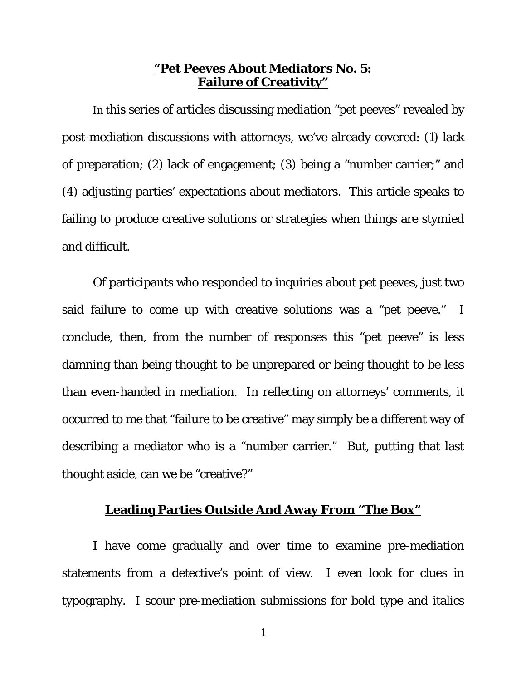## **"Pet Peeves About Mediators No. 5: Failure of Creativity"**

In this series of articles discussing mediation "pet peeves" revealed by post-mediation discussions with attorneys, we've already covered: (1) lack of preparation; (2) lack of engagement; (3) being a "number carrier;" and (4) adjusting parties' expectations about mediators. This article speaks to failing to produce creative solutions or strategies when things are stymied and difficult.

Of participants who responded to inquiries about pet peeves, just two said failure to come up with creative solutions was a "pet peeve." I conclude, then, from the number of responses this "pet peeve" is less damning than being thought to be unprepared or being thought to be less than even-handed in mediation. In reflecting on attorneys' comments, it occurred to me that "failure to be creative" may simply be a different way of describing a mediator who is a "number carrier." But, putting that last thought aside, can we be "creative?"

## **Leading Parties Outside And Away From "The Box"**

I have come gradually and over time to examine pre-mediation statements from a detective's point of view. I even look for clues in typography. I scour pre-mediation submissions for bold type and italics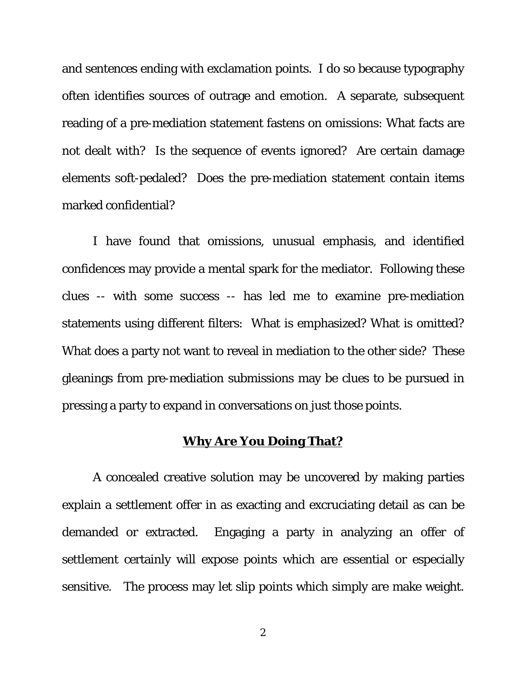and sentences ending with exclamation points. I do so because typography often identifies sources of outrage and emotion. A separate, subsequent reading of a pre-mediation statement fastens on omissions: What facts are not dealt with? Is the sequence of events ignored? Are certain damage elements soft-pedaled? Does the pre-mediation statement contain items marked confidential?

I have found that omissions, unusual emphasis, and identified confidences may provide a mental spark for the mediator. Following these clues -- with some success -- has led me to examine pre-mediation statements using different filters: What is emphasized? What is omitted? What does a party not want to reveal in mediation to the other side? These gleanings from pre-mediation submissions may be clues to be pursued in pressing a party to expand in conversations on just those points.

## **Why Are You Doing That?**

A concealed creative solution may be uncovered by making parties explain a settlement offer in as exacting and excruciating detail as can be demanded or extracted. Engaging a party in analyzing an offer of settlement certainly will expose points which are essential or especially sensitive. The process may let slip points which simply are make weight.

2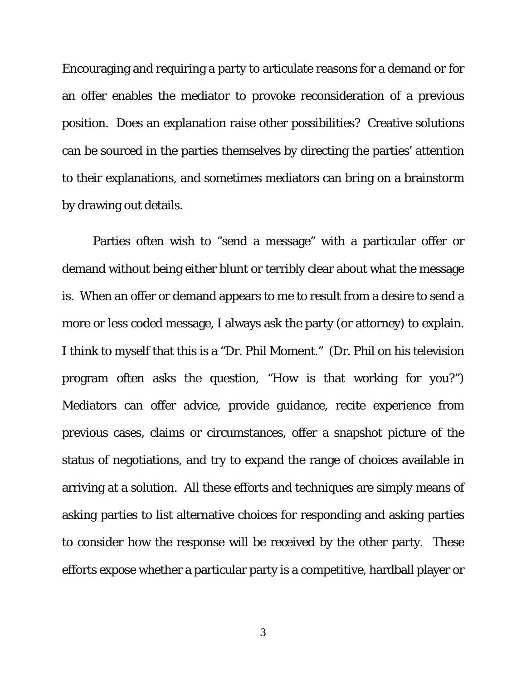Encouraging and requiring a party to articulate reasons for a demand or for an offer enables the mediator to provoke reconsideration of a previous position. Does an explanation raise other possibilities? Creative solutions can be sourced in the parties themselves by directing the parties' attention to their explanations, and sometimes mediators can bring on a brainstorm by drawing out details.

Parties often wish to "send a message" with a particular offer or demand without being either blunt or terribly clear about what the message is. When an offer or demand appears to me to result from a desire to send a more or less coded message, I always ask the party (or attorney) to explain. I think to myself that this is a "Dr. Phil Moment." (Dr. Phil on his television program often asks the question, "How is that working for you?") Mediators can offer advice, provide guidance, recite experience from previous cases, claims or circumstances, offer a snapshot picture of the status of negotiations, and try to expand the range of choices available in arriving at a solution. All these efforts and techniques are simply means of asking parties to list alternative choices for responding and asking parties to consider how the response will be received by the other party. These efforts expose whether a particular party is a competitive, hardball player or